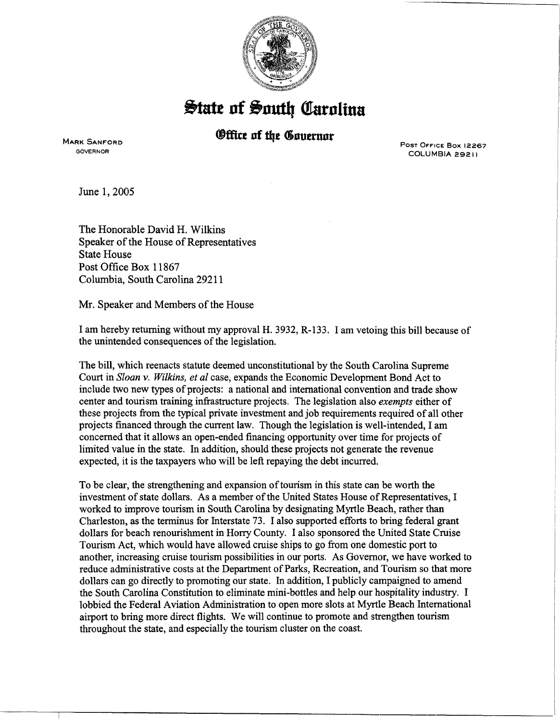

 $\frac{1}{2}$ tate of South Carolina

## ®ffite **nf tlye C5nuemnr**

MARK SANFORD GOVERNOR

PosT OFFICE Box 12267' COLUMBIA 29211

 $\overline{\phantom{a}}$ 

~~~---·----

June 1, 2005

The Honorable David H. Wilkins Speaker of the House of Representatives State House Post Office Box 11867 Columbia, South Carolina 29211

Mr. Speaker and Members of the House

I am hereby returning without my approval H. 3932, R-133. I am vetoing this bill because of the unintended consequences of the legislation.

The bill, which reenacts statute deemed unconstitutional by the South Carolina Supreme Court in *Sloan* v. *Wilkins, et al* case, expands the Economic Development Bond Act to include two new types of projects: a national and international convention and trade show center and tourism training infrastructure projects. The legislation also *exempts* either of these projects from the typical private investment and job requirements required of all other projects financed through the current law. Though the legislation is well-intended, I am concerned that it allows an open-ended financing opportunity over time for projects of limited value in the state. In addition, should these projects not generate the revenue expected, it is the taxpayers who will be left repaying the debt incurred.

To be clear, the strengthening and expansion of tourism in this state can be worth the investment of state dollars. As a member of the United States House of Representatives, I worked to improve tourism in South Carolina by designating Myrtle Beach, rather than Charleston, as the terminus for Interstate 73. I also supported efforts to bring federal grant dollars for beach renourishment in Horry County. I also sponsored the United State Cruise Tourism Act, which would have allowed cruise ships to go from one domestic port to another, increasing cruise tourism possibilities in our ports. As Governor, we have worked to reduce administrative costs at the Department of Parks, Recreation, and Tourism so that more dollars can go directly to promoting our state. In addition, I publicly campaigned to amend the South Carolina Constitution to eliminate mini-bottles and help our hospitality industry. I lobbied the Federal Aviation Administration to open more slots at Myrtle Beach International airport to bring more direct flights. We will continue to promote and strengthen tourism throughout the state, and especially the tourism cluster on the coast.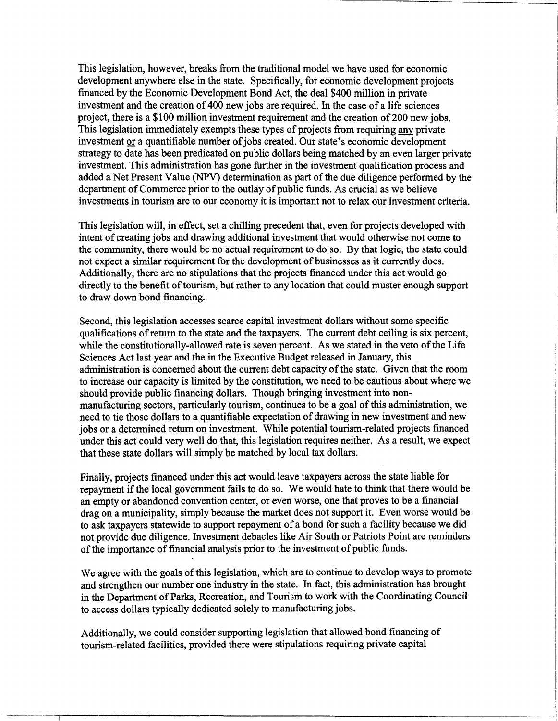This legislation, however, breaks from the traditional model we have used for economic development anywhere else in the state. Specifically, for economic development projects financed by the Economic Development Bond Act, the deal \$400 million in private investment and the creation of 400 new jobs are required. In the case of a life sciences project, there is a \$100 million investment requirement and the creation of 200 new jobs. This legislation immediately exempts these types of projects from requiring any private investment or a quantifiable number of jobs created. Our state's economic development strategy to date has been predicated on public dollars being matched by an even larger private investment. This administration has gone further in the investment qualification process and added a Net Present Value (NPV) determination as part of the due diligence performed by the department of Commerce prior to the outlay of public funds. As crucial as we believe investments in tourism are to our economy it is important not to relax our investment criteria.

This legislation will, in effect, set a chilling precedent that, even for projects developed with intent of creating jobs and drawing additional investment that would otherwise not come to the community, there would be no actual requirement to do so. By that logic, the state could not expect a similar requirement for the development of businesses as it currently does. Additionally, there are no stipulations that the projects financed under this act would go directly to the benefit of tourism, but rather to any location that could muster enough support to draw down bond financing.

Second, this legislation accesses scarce capital investment dollars without some specific qualifications of return to the state and the taxpayers. The current debt ceiling is six percent, while the constitutionally-allowed rate is seven percent. As we stated in the veto of the Life Sciences Act last year and the in the Executive Budget released in January, this administration is concerned about the current debt capacity of the state. Given that the room to increase our capacity is limited by the constitution, we need to be cautious about where we should provide public financing dollars. Though bringing investment into nonmanufacturing sectors, particularly tourism, continues to be a goal of this administration, we need to tie those dollars to a quantifiable expectation of drawing in new investment and new jobs or a determined return on investment. While potential tourism-related projects financed under this act could very well do that, this legislation requires neither. As a result, we expect that these state dollars will simply be matched by local tax dollars.

Finally, projects financed under this act would leave taxpayers across the state liable for repayment if the local government fails to do so. We would hate to think that there would be an empty or abandoned convention center, or even worse, one that proves to be a financial drag on a municipality, simply because the market does not support it. Even worse would be to ask taxpayers statewide to support repayment of a bond for such a facility because we did not provide due diligence. Investment debacles like Air South or Patriots Point are reminders of the importance of financial analysis prior to the investment of public funds.

We agree with the goals of this legislation, which are to continue to develop ways to promote and strengthen our number one industry in the state. In fact, this administration has brought in the Department of Parks, Recreation, and Tourism to work with the Coordinating Council to access dollars typically dedicated solely to manufacturing jobs.

I

\_\_\_\_ j

Additionally, we could consider supporting legislation that allowed bond financing of tourism-related facilities, provided there were stipulations requiring private capital '